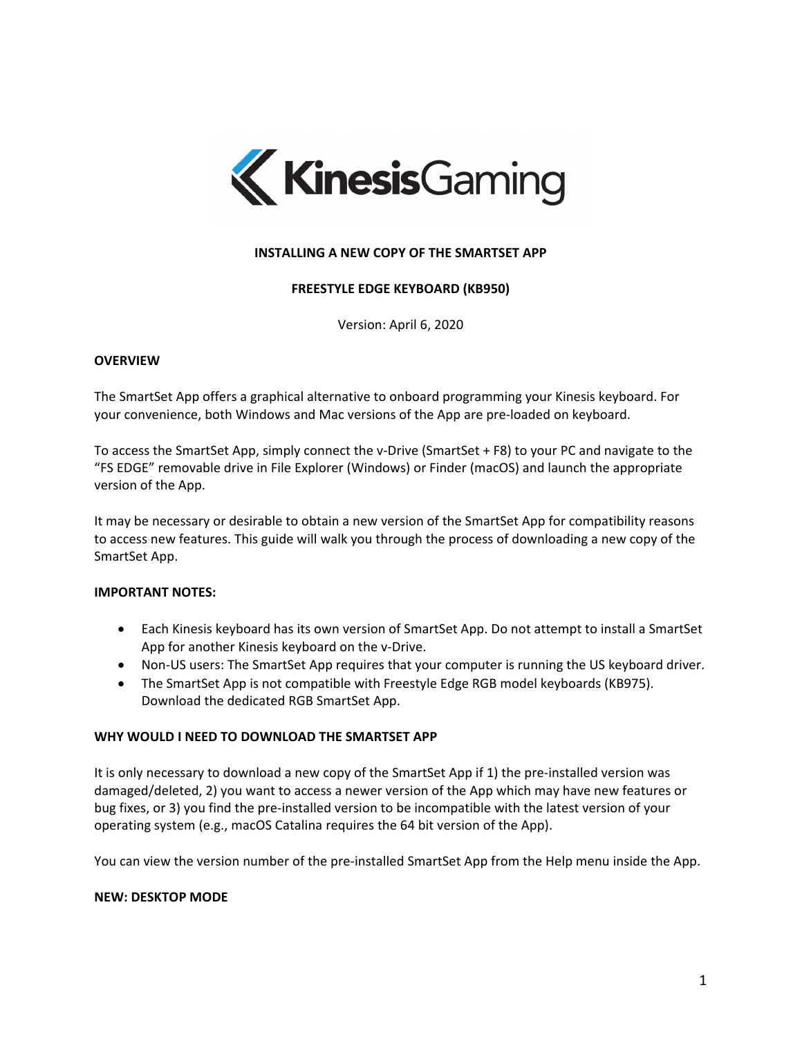

# **INSTALLING A NEW COPY OF THE SMARTSET APP**

### **FREESTYLE EDGE KEYBOARD (KB950)**

Version: April 6, 2020

### **OVERVIEW**

The SmartSet App offers a graphical alternative to onboard programming your Kinesis keyboard. For your convenience, both Windows and Mac versions of the App are pre‐loaded on keyboard.

To access the SmartSet App, simply connect the v‐Drive (SmartSet + F8) to your PC and navigate to the "FS EDGE" removable drive in File Explorer (Windows) or Finder (macOS) and launch the appropriate version of the App.

It may be necessary or desirable to obtain a new version of the SmartSet App for compatibility reasons to access new features. This guide will walk you through the process of downloading a new copy of the SmartSet App.

### **IMPORTANT NOTES:**

- Each Kinesis keyboard has its own version of SmartSet App. Do not attempt to install a SmartSet App for another Kinesis keyboard on the v‐Drive.
- Non-US users: The SmartSet App requires that your computer is running the US keyboard driver.
- The SmartSet App is not compatible with Freestyle Edge RGB model keyboards (KB975). Download the dedicated RGB SmartSet App.

#### **WHY WOULD I NEED TO DOWNLOAD THE SMARTSET APP**

It is only necessary to download a new copy of the SmartSet App if 1) the pre‐installed version was damaged/deleted, 2) you want to access a newer version of the App which may have new features or bug fixes, or 3) you find the pre‐installed version to be incompatible with the latest version of your operating system (e.g., macOS Catalina requires the 64 bit version of the App).

You can view the version number of the pre-installed SmartSet App from the Help menu inside the App.

#### **NEW: DESKTOP MODE**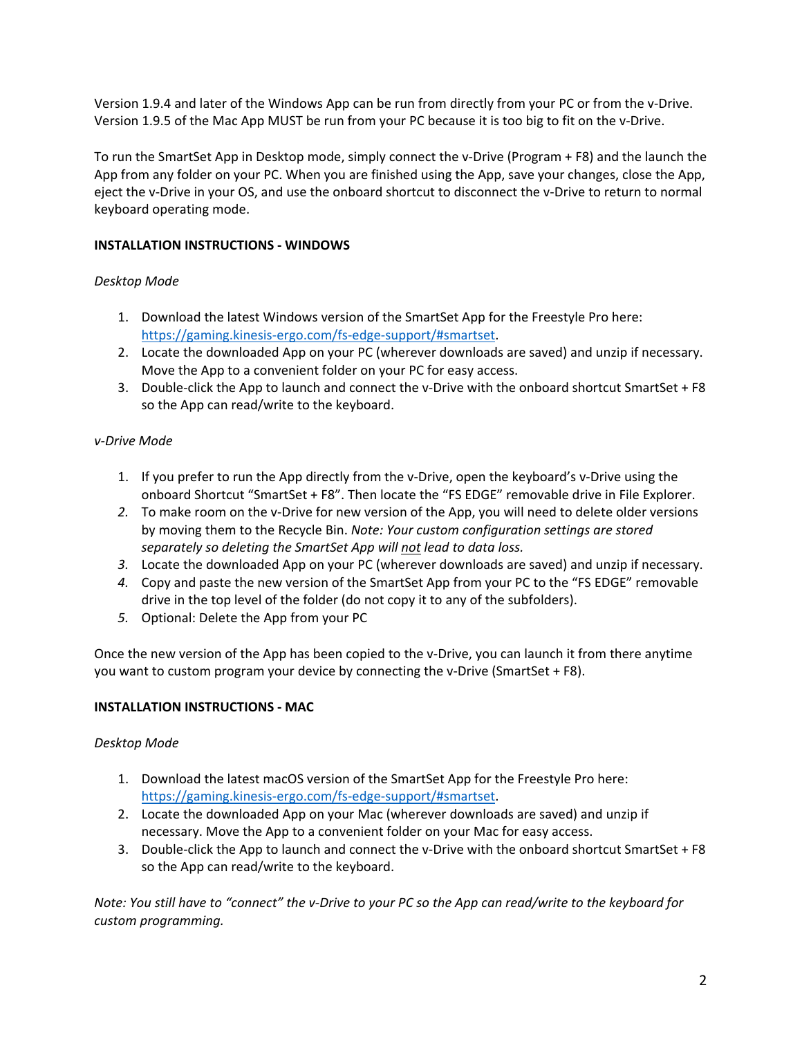Version 1.9.4 and later of the Windows App can be run from directly from your PC or from the v‐Drive. Version 1.9.5 of the Mac App MUST be run from your PC because it is too big to fit on the v‐Drive.

To run the SmartSet App in Desktop mode, simply connect the v‐Drive (Program + F8) and the launch the App from any folder on your PC. When you are finished using the App, save your changes, close the App, eject the v‐Drive in your OS, and use the onboard shortcut to disconnect the v‐Drive to return to normal keyboard operating mode.

# **INSTALLATION INSTRUCTIONS ‐ WINDOWS**

# *Desktop Mode*

- 1. Download the latest Windows version of the SmartSet App for the Freestyle Pro here: https://gaming.kinesis‐ergo.com/fs‐edge‐support/#smartset.
- 2. Locate the downloaded App on your PC (wherever downloads are saved) and unzip if necessary. Move the App to a convenient folder on your PC for easy access.
- 3. Double-click the App to launch and connect the v-Drive with the onboard shortcut SmartSet + F8 so the App can read/write to the keyboard.

# *v‐Drive Mode*

- 1. If you prefer to run the App directly from the v‐Drive, open the keyboard's v‐Drive using the onboard Shortcut "SmartSet + F8". Then locate the "FS EDGE" removable drive in File Explorer.
- *2.* To make room on the v‐Drive for new version of the App, you will need to delete older versions by moving them to the Recycle Bin. *Note: Your custom configuration settings are stored separately so deleting the SmartSet App will not lead to data loss.*
- *3.* Locate the downloaded App on your PC (wherever downloads are saved) and unzip if necessary.
- *4.* Copy and paste the new version of the SmartSet App from your PC to the "FS EDGE" removable drive in the top level of the folder (do not copy it to any of the subfolders).
- *5.* Optional: Delete the App from your PC

Once the new version of the App has been copied to the v‐Drive, you can launch it from there anytime you want to custom program your device by connecting the v‐Drive (SmartSet + F8).

## **INSTALLATION INSTRUCTIONS ‐ MAC**

## *Desktop Mode*

- 1. Download the latest macOS version of the SmartSet App for the Freestyle Pro here: https://gaming.kinesis‐ergo.com/fs‐edge‐support/#smartset.
- 2. Locate the downloaded App on your Mac (wherever downloads are saved) and unzip if necessary. Move the App to a convenient folder on your Mac for easy access.
- 3. Double-click the App to launch and connect the v-Drive with the onboard shortcut SmartSet + F8 so the App can read/write to the keyboard.

Note: You still have to "connect" the v-Drive to your PC so the App can read/write to the keyboard for *custom programming.*